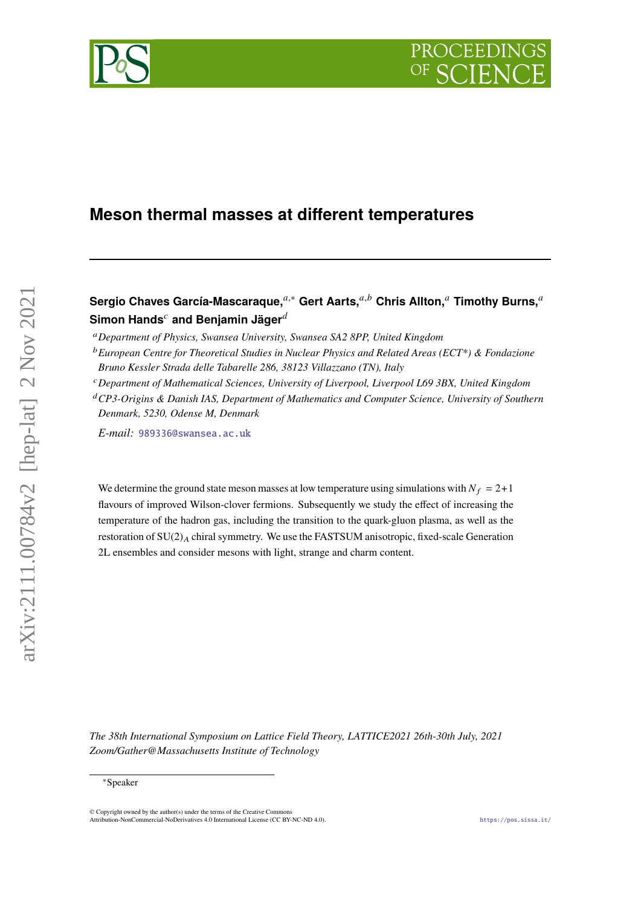# **Meson thermal masses at different temperatures**

**Sergio Chaves García-Mascaraque.**<sup>*a,∗*</sup> Gert Aarts.<sup>*a,b*</sup> Chris Allton.<sup>*a*</sup> Timothy Burns.<sup>*a*</sup> **Simon Hands<sup>c</sup> and Benjamin Jäger**<sup>d</sup>

*CP3-Origins & Danish IAS, Department of Mathematics and Computer Science, University of Southern Denmark, 5230, Odense M, Denmark*

*E-mail:* [989336@swansea.ac.uk](mailto:989336@swansea.ac.uk)

We determine the ground state meson masses at low temperature using simulations with  $N_f = 2+1$ flavours of improved Wilson-clover fermions. Subsequently we study the effect of increasing the temperature of the hadron gas, including the transition to the quark-gluon plasma, as well as the restoration of  $SU(2)_A$  chiral symmetry. We use the FASTSUM anisotropic, fixed-scale Generation 2L ensembles and consider mesons with light, strange and charm content.

*The 38th International Symposium on Lattice Field Theory, LATTICE2021 26th-30th July, 2021 Zoom/Gather@Massachusetts Institute of Technology*



*Department of Physics, Swansea University, Swansea SA2 8PP, United Kingdom*

*European Centre for Theoretical Studies in Nuclear Physics and Related Areas (ECT\*) & Fondazione Bruno Kessler Strada delle Tabarelle 286, 38123 Villazzano (TN), Italy*

*Department of Mathematical Sciences, University of Liverpool, Liverpool L69 3BX, United Kingdom*

<sup>∗</sup>Speaker

 $\odot$  Copyright owned by the author(s) under the terms of the Creative Common Attribution-NonCommercial-NoDerivatives 4.0 International License (CC BY-NC-ND 4.0). <https://pos.sissa.it/>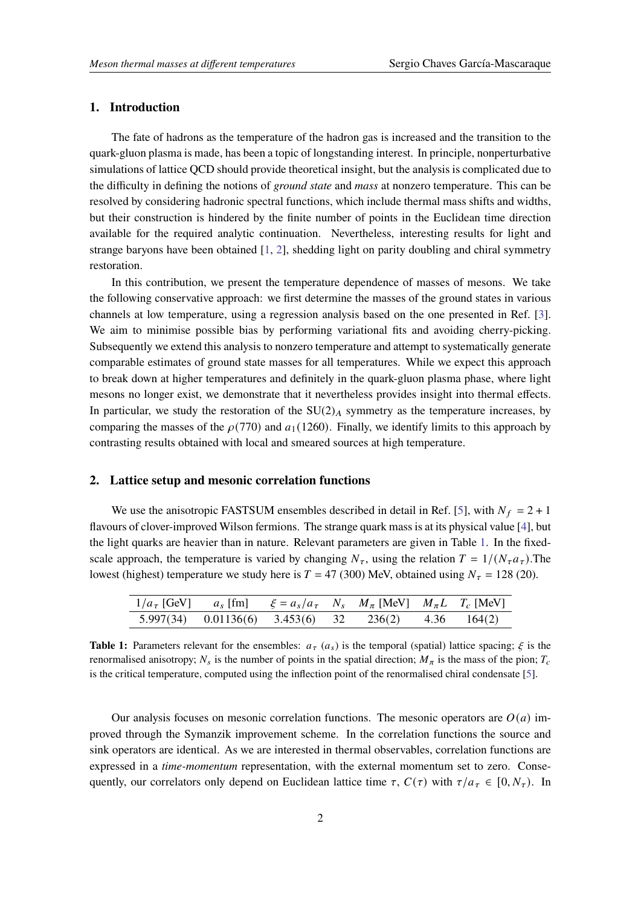### **1. Introduction**

The fate of hadrons as the temperature of the hadron gas is increased and the transition to the quark-gluon plasma is made, has been a topic of longstanding interest. In principle, nonperturbative simulations of lattice QCD should provide theoretical insight, but the analysis is complicated due to the difficulty in defining the notions of *ground state* and *mass* at nonzero temperature. This can be resolved by considering hadronic spectral functions, which include thermal mass shifts and widths, but their construction is hindered by the finite number of points in the Euclidean time direction available for the required analytic continuation. Nevertheless, interesting results for light and strange baryons have been obtained [\[1,](#page-8-0) [2\]](#page-8-1), shedding light on parity doubling and chiral symmetry restoration.

In this contribution, we present the temperature dependence of masses of mesons. We take the following conservative approach: we first determine the masses of the ground states in various channels at low temperature, using a regression analysis based on the one presented in Ref. [\[3\]](#page-8-2). We aim to minimise possible bias by performing variational fits and avoiding cherry-picking. Subsequently we extend this analysis to nonzero temperature and attempt to systematically generate comparable estimates of ground state masses for all temperatures. While we expect this approach to break down at higher temperatures and definitely in the quark-gluon plasma phase, where light mesons no longer exist, we demonstrate that it nevertheless provides insight into thermal effects. In particular, we study the restoration of the  $SU(2)_A$  symmetry as the temperature increases, by comparing the masses of the  $\rho(770)$  and  $a_1(1260)$ . Finally, we identify limits to this approach by contrasting results obtained with local and smeared sources at high temperature.

#### **2. Lattice setup and mesonic correlation functions**

We use the anisotropic FASTSUM ensembles described in detail in Ref. [\[5\]](#page-8-3), with  $N_f = 2 + 1$ flavours of clover-improved Wilson fermions. The strange quark mass is at its physical value [\[4\]](#page-8-4), but the light quarks are heavier than in nature. Relevant parameters are given in Table [1.](#page-1-0) In the fixedscale approach, the temperature is varied by changing  $N_{\tau}$ , using the relation  $T = 1/(N_{\tau} a_{\tau})$ . The lowest (highest) temperature we study here is  $T = 47$  (300) MeV, obtained using  $N<sub>\tau</sub> = 128$  (20).

<span id="page-1-0"></span>

| $1/a_{\tau}$ [GeV] $a_{s}$ [fm] $\xi = a_{s}/a_{\tau}$ $N_{s}$ $M_{\pi}$ [MeV] $M_{\pi}L$ $T_{c}$ [MeV] |                                                       |  |  |  |
|---------------------------------------------------------------------------------------------------------|-------------------------------------------------------|--|--|--|
|                                                                                                         | 5.997(34) $0.01136(6)$ 3.453(6) 32 236(2) 4.36 164(2) |  |  |  |

**Table 1:** Parameters relevant for the ensembles:  $a<sub>\tau</sub>$  ( $a<sub>s</sub>$ ) is the temporal (spatial) lattice spacing;  $\xi$  is the renormalised anisotropy;  $N_s$  is the number of points in the spatial direction;  $M_\pi$  is the mass of the pion;  $T_c$ is the critical temperature, computed using the inflection point of the renormalised chiral condensate [\[5\]](#page-8-3).

Our analysis focuses on mesonic correlation functions. The mesonic operators are  $O(a)$  improved through the Symanzik improvement scheme. In the correlation functions the source and sink operators are identical. As we are interested in thermal observables, correlation functions are expressed in a *time-momentum* representation, with the external momentum set to zero. Consequently, our correlators only depend on Euclidean lattice time  $\tau$ ,  $C(\tau)$  with  $\tau/a_{\tau} \in [0, N_{\tau})$ . In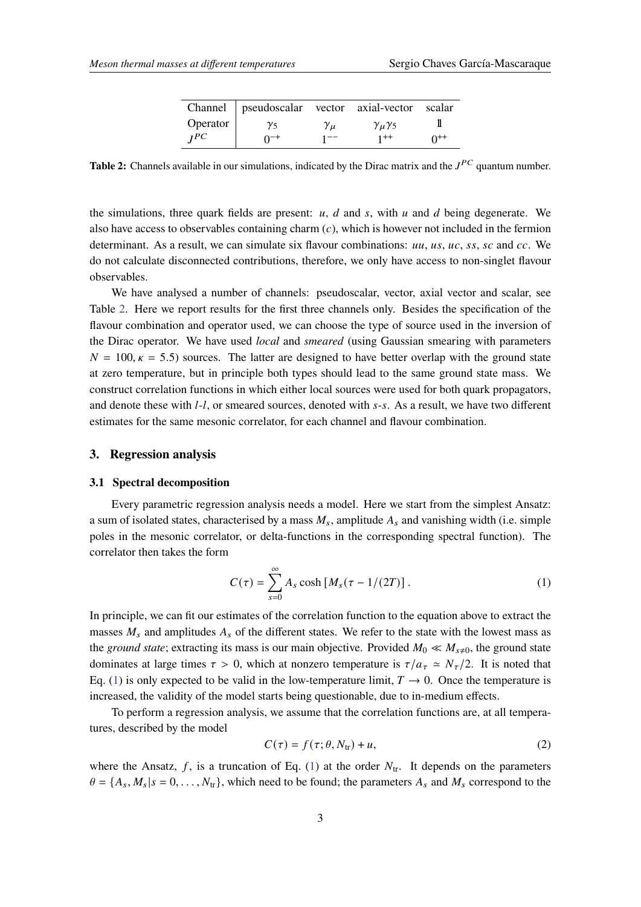|          | Channel   pseudoscalar vector axial-vector scalar |                |                          |          |
|----------|---------------------------------------------------|----------------|--------------------------|----------|
| Operator | $\gamma_5$                                        | $\gamma_{\mu}$ | $\gamma_{\mu}\gamma_{5}$ |          |
| IPC      | $0^{-+}$                                          | 1 – –          | $1^{++}$                 | $0^{++}$ |

<span id="page-2-0"></span>**Table 2:** Channels available in our simulations, indicated by the Dirac matrix and the  $J^{PC}$  quantum number.

the simulations, three quark fields are present:  $u$ ,  $d$  and  $s$ , with  $u$  and  $d$  being degenerate. We also have access to observables containing charm  $(c)$ , which is however not included in the fermion determinant. As a result, we can simulate six flavour combinations:  $uu, us, uc, ss, sc$  and  $cc$ . We do not calculate disconnected contributions, therefore, we only have access to non-singlet flavour observables.

We have analysed a number of channels: pseudoscalar, vector, axial vector and scalar, see Table [2.](#page-2-0) Here we report results for the first three channels only. Besides the specification of the flavour combination and operator used, we can choose the type of source used in the inversion of the Dirac operator. We have used *local* and *smeared* (using Gaussian smearing with parameters  $N = 100, \kappa = 5.5$ ) sources. The latter are designed to have better overlap with the ground state at zero temperature, but in principle both types should lead to the same ground state mass. We construct correlation functions in which either local sources were used for both quark propagators, and denote these with  $l-l$ , or smeared sources, denoted with  $s-s$ . As a result, we have two different estimates for the same mesonic correlator, for each channel and flavour combination.

### **3. Regression analysis**

#### **3.1 Spectral decomposition**

Every parametric regression analysis needs a model. Here we start from the simplest Ansatz: a sum of isolated states, characterised by a mass  $M_s$ , amplitude  $A_s$  and vanishing width (i.e. simple poles in the mesonic correlator, or delta-functions in the corresponding spectral function). The correlator then takes the form

<span id="page-2-1"></span>
$$
C(\tau) = \sum_{s=0}^{\infty} A_s \cosh \left[ M_s(\tau - 1/(2T)) \right]. \tag{1}
$$

In principle, we can fit our estimates of the correlation function to the equation above to extract the masses  $M_s$  and amplitudes  $A_s$  of the different states. We refer to the state with the lowest mass as the *ground state*; extracting its mass is our main objective. Provided  $M_0 \ll M_{s\neq 0}$ , the ground state dominates at large times  $\tau > 0$ , which at nonzero temperature is  $\tau/a_{\tau} \simeq N_{\tau}/2$ . It is noted that Eq. [\(1\)](#page-2-1) is only expected to be valid in the low-temperature limit,  $T \rightarrow 0$ . Once the temperature is increased, the validity of the model starts being questionable, due to in-medium effects.

To perform a regression analysis, we assume that the correlation functions are, at all temperatures, described by the model

<span id="page-2-2"></span>
$$
C(\tau) = f(\tau; \theta, N_{tr}) + u,
$$
\n(2)

where the Ansatz, f, is a truncation of Eq. [\(1\)](#page-2-1) at the order  $N_{tr}$ . It depends on the parameters  $\theta = \{A_s, M_s | s = 0, \ldots, N_{tr}\}$ , which need to be found; the parameters  $A_s$  and  $M_s$  correspond to the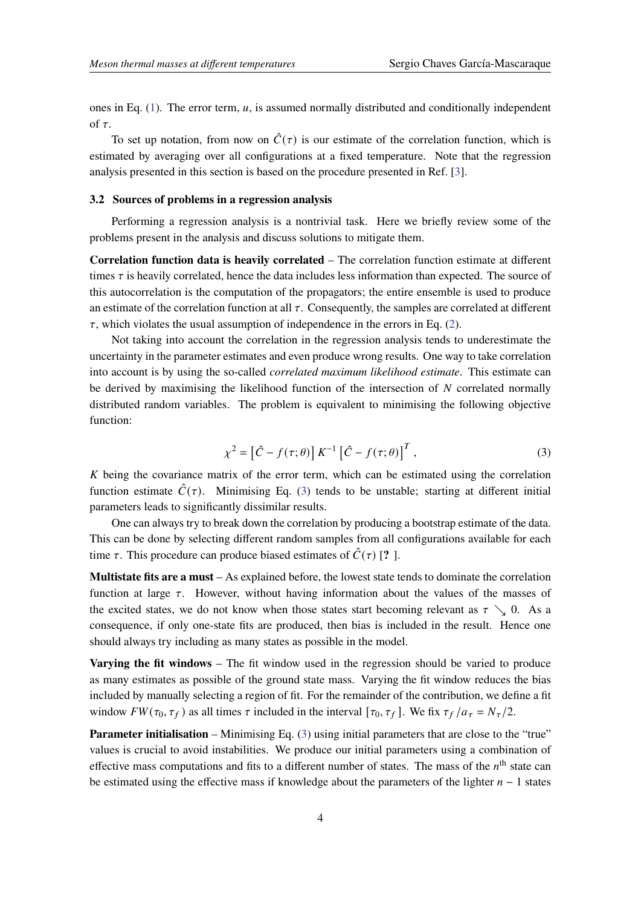ones in Eq.  $(1)$ . The error term,  $u$ , is assumed normally distributed and conditionally independent of  $\tau$ .

To set up notation, from now on  $\hat{C}(\tau)$  is our estimate of the correlation function, which is estimated by averaging over all configurations at a fixed temperature. Note that the regression analysis presented in this section is based on the procedure presented in Ref. [\[3\]](#page-8-2).

#### **3.2 Sources of problems in a regression analysis**

Performing a regression analysis is a nontrivial task. Here we briefly review some of the problems present in the analysis and discuss solutions to mitigate them.

**Correlation function data is heavily correlated** – The correlation function estimate at different times  $\tau$  is heavily correlated, hence the data includes less information than expected. The source of this autocorrelation is the computation of the propagators; the entire ensemble is used to produce an estimate of the correlation function at all  $\tau$ . Consequently, the samples are correlated at different  $\tau$ , which violates the usual assumption of independence in the errors in Eq. [\(2\)](#page-2-2).

Not taking into account the correlation in the regression analysis tends to underestimate the uncertainty in the parameter estimates and even produce wrong results. One way to take correlation into account is by using the so-called *correlated maximum likelihood estimate*. This estimate can be derived by maximising the likelihood function of the intersection of  $N$  correlated normally distributed random variables. The problem is equivalent to minimising the following objective function:

<span id="page-3-0"></span>
$$
\chi^2 = \left[\hat{C} - f(\tau;\theta)\right] K^{-1} \left[\hat{C} - f(\tau;\theta)\right]^T, \tag{3}
$$

 $K$  being the covariance matrix of the error term, which can be estimated using the correlation function estimate  $\hat{C}(\tau)$ . Minimising Eq. [\(3\)](#page-3-0) tends to be unstable; starting at different initial parameters leads to significantly dissimilar results.

One can always try to break down the correlation by producing a bootstrap estimate of the data. This can be done by selecting different random samples from all configurations available for each time  $\tau$ . This procedure can produce biased estimates of  $\hat{C}(\tau)$  [? ].

**Multistate fits are a must** – As explained before, the lowest state tends to dominate the correlation function at large  $\tau$ . However, without having information about the values of the masses of the excited states, we do not know when those states start becoming relevant as  $\tau \searrow 0$ . As a consequence, if only one-state fits are produced, then bias is included in the result. Hence one should always try including as many states as possible in the model.

**Varying the fit windows** – The fit window used in the regression should be varied to produce as many estimates as possible of the ground state mass. Varying the fit window reduces the bias included by manually selecting a region of fit. For the remainder of the contribution, we define a fit window  $FW(\tau_0, \tau_f)$  as all times  $\tau$  included in the interval  $[\tau_0, \tau_f]$ . We fix  $\tau_f / a_{\tau} = N_{\tau}/2$ .

**Parameter initialisation** – Minimising Eq. [\(3\)](#page-3-0) using initial parameters that are close to the "true" values is crucial to avoid instabilities. We produce our initial parameters using a combination of effective mass computations and fits to a different number of states. The mass of the  $n<sup>th</sup>$  state can be estimated using the effective mass if knowledge about the parameters of the lighter  $n - 1$  states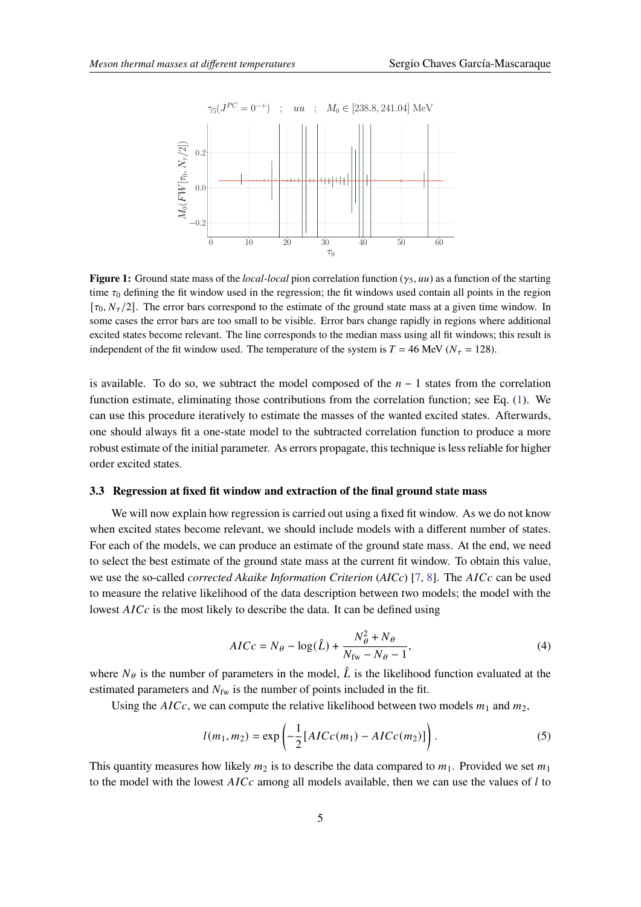

**Figure 1:** Ground state mass of the *local-local* pion correlation function  $(y_5, uu)$  as a function of the starting time  $\tau_0$  defining the fit window used in the regression; the fit windows used contain all points in the region  $[\tau_0, N_\tau/2]$ . The error bars correspond to the estimate of the ground state mass at a given time window. In some cases the error bars are too small to be visible. Error bars change rapidly in regions where additional excited states become relevant. The line corresponds to the median mass using all fit windows; this result is independent of the fit window used. The temperature of the system is  $T = 46$  MeV ( $N<sub>\tau</sub> = 128$ ).

is available. To do so, we subtract the model composed of the  $n - 1$  states from the correlation function estimate, eliminating those contributions from the correlation function; see Eq. [\(1\)](#page-2-1). We can use this procedure iteratively to estimate the masses of the wanted excited states. Afterwards, one should always fit a one-state model to the subtracted correlation function to produce a more robust estimate of the initial parameter. As errors propagate, this technique is less reliable for higher order excited states.

#### **3.3 Regression at fixed fit window and extraction of the final ground state mass**

We will now explain how regression is carried out using a fixed fit window. As we do not know when excited states become relevant, we should include models with a different number of states. For each of the models, we can produce an estimate of the ground state mass. At the end, we need to select the best estimate of the ground state mass at the current fit window. To obtain this value, we use the so-called *corrected Akaike Information Criterion* (AICc) [\[7,](#page-8-5) [8\]](#page-8-6). The AICc can be used to measure the relative likelihood of the data description between two models; the model with the lowest  $AICc$  is the most likely to describe the data. It can be defined using

$$
AICc = N_{\theta} - \log(\hat{L}) + \frac{N_{\theta}^2 + N_{\theta}}{N_{\text{fw}} - N_{\theta} - 1},\tag{4}
$$

where  $N_{\theta}$  is the number of parameters in the model,  $\hat{L}$  is the likelihood function evaluated at the estimated parameters and  $N_{\text{fw}}$  is the number of points included in the fit.

Using the  $AICc$ , we can compute the relative likelihood between two models  $m_1$  and  $m_2$ ,

$$
l(m_1, m_2) = \exp\left(-\frac{1}{2}[AICc(m_1) - AICc(m_2)]\right).
$$
 (5)

This quantity measures how likely  $m_2$  is to describe the data compared to  $m_1$ . Provided we set  $m_1$ to the model with the lowest  $AICc$  among all models available, then we can use the values of  $l$  to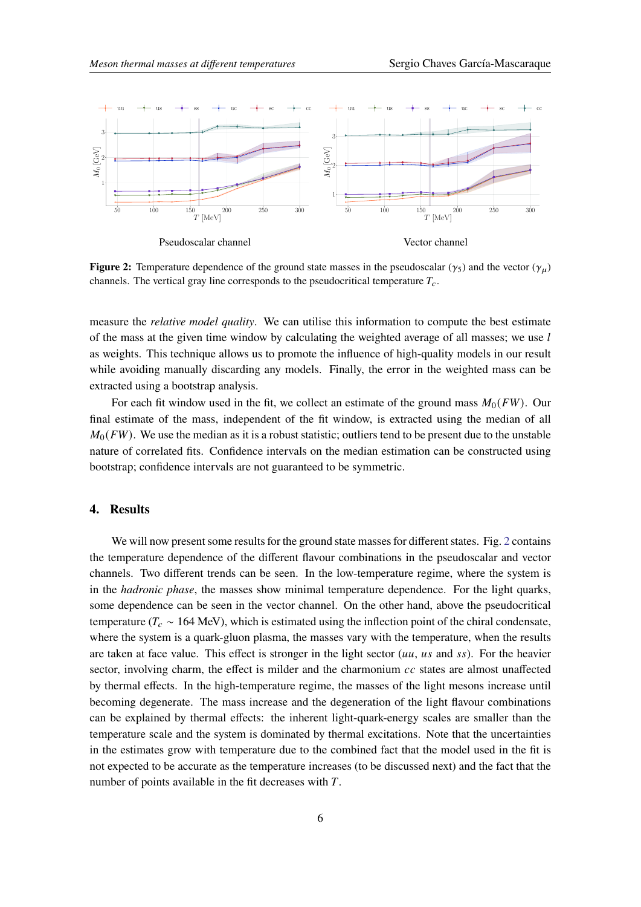<span id="page-5-0"></span>

**Figure 2:** Temperature dependence of the ground state masses in the pseudoscalar ( $\gamma_5$ ) and the vector ( $\gamma_u$ ) channels. The vertical gray line corresponds to the pseudocritical temperature  $T_c$ .

measure the *relative model quality*. We can utilise this information to compute the best estimate of the mass at the given time window by calculating the weighted average of all masses; we use  $l$ as weights. This technique allows us to promote the influence of high-quality models in our result while avoiding manually discarding any models. Finally, the error in the weighted mass can be extracted using a bootstrap analysis.

For each fit window used in the fit, we collect an estimate of the ground mass  $M_0(FW)$ . Our final estimate of the mass, independent of the fit window, is extracted using the median of all  $M_0(FW)$ . We use the median as it is a robust statistic; outliers tend to be present due to the unstable nature of correlated fits. Confidence intervals on the median estimation can be constructed using bootstrap; confidence intervals are not guaranteed to be symmetric.

### **4. Results**

We will now present some results for the ground state masses for different states. Fig. [2](#page-5-0) contains the temperature dependence of the different flavour combinations in the pseudoscalar and vector channels. Two different trends can be seen. In the low-temperature regime, where the system is in the *hadronic phase*, the masses show minimal temperature dependence. For the light quarks, some dependence can be seen in the vector channel. On the other hand, above the pseudocritical temperature ( $T_c \sim 164$  MeV), which is estimated using the inflection point of the chiral condensate, where the system is a quark-gluon plasma, the masses vary with the temperature, when the results are taken at face value. This effect is stronger in the light sector  $(uu, u s$  and  $ss)$ . For the heavier sector, involving charm, the effect is milder and the charmonium  $cc$  states are almost unaffected by thermal effects. In the high-temperature regime, the masses of the light mesons increase until becoming degenerate. The mass increase and the degeneration of the light flavour combinations can be explained by thermal effects: the inherent light-quark-energy scales are smaller than the temperature scale and the system is dominated by thermal excitations. Note that the uncertainties in the estimates grow with temperature due to the combined fact that the model used in the fit is not expected to be accurate as the temperature increases (to be discussed next) and the fact that the number of points available in the fit decreases with  $T$ .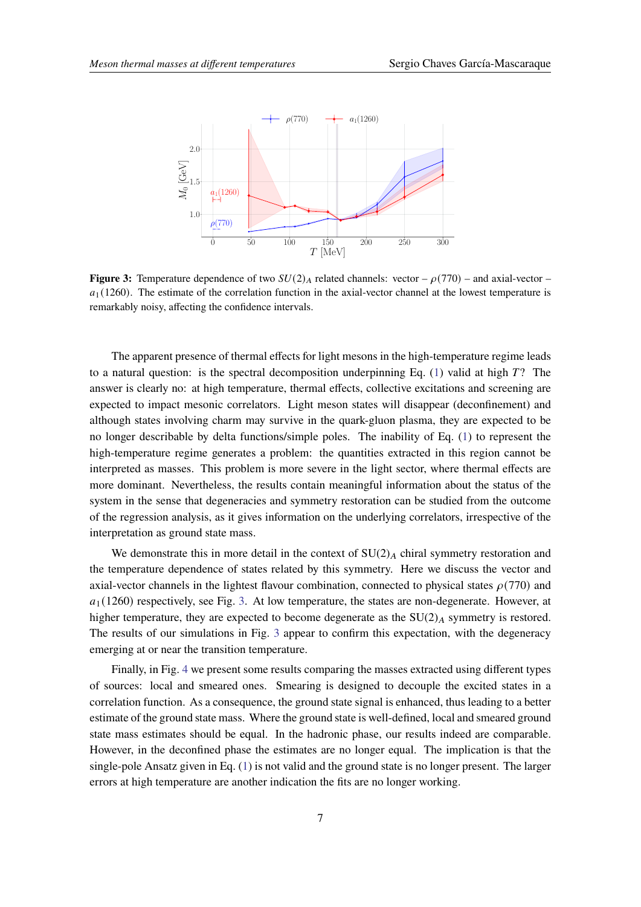<span id="page-6-0"></span>

**Figure 3:** Temperature dependence of two  $SU(2)_A$  related channels: vector –  $\rho(770)$  – and axial-vector –  $a_1$ (1260). The estimate of the correlation function in the axial-vector channel at the lowest temperature is remarkably noisy, affecting the confidence intervals.

The apparent presence of thermal effects for light mesons in the high-temperature regime leads to a natural question: is the spectral decomposition underpinning Eq. [\(1\)](#page-2-1) valid at high  $T$ ? The answer is clearly no: at high temperature, thermal effects, collective excitations and screening are expected to impact mesonic correlators. Light meson states will disappear (deconfinement) and although states involving charm may survive in the quark-gluon plasma, they are expected to be no longer describable by delta functions/simple poles. The inability of Eq. [\(1\)](#page-2-1) to represent the high-temperature regime generates a problem: the quantities extracted in this region cannot be interpreted as masses. This problem is more severe in the light sector, where thermal effects are more dominant. Nevertheless, the results contain meaningful information about the status of the system in the sense that degeneracies and symmetry restoration can be studied from the outcome of the regression analysis, as it gives information on the underlying correlators, irrespective of the interpretation as ground state mass.

We demonstrate this in more detail in the context of  $SU(2)_A$  chiral symmetry restoration and the temperature dependence of states related by this symmetry. Here we discuss the vector and axial-vector channels in the lightest flavour combination, connected to physical states  $\rho(770)$  and  $a_1$ (1260) respectively, see Fig. [3.](#page-6-0) At low temperature, the states are non-degenerate. However, at higher temperature, they are expected to become degenerate as the  $SU(2)_A$  symmetry is restored. The results of our simulations in Fig. [3](#page-6-0) appear to confirm this expectation, with the degeneracy emerging at or near the transition temperature.

Finally, in Fig. [4](#page-7-0) we present some results comparing the masses extracted using different types of sources: local and smeared ones. Smearing is designed to decouple the excited states in a correlation function. As a consequence, the ground state signal is enhanced, thus leading to a better estimate of the ground state mass. Where the ground state is well-defined, local and smeared ground state mass estimates should be equal. In the hadronic phase, our results indeed are comparable. However, in the deconfined phase the estimates are no longer equal. The implication is that the single-pole Ansatz given in Eq. [\(1\)](#page-2-1) is not valid and the ground state is no longer present. The larger errors at high temperature are another indication the fits are no longer working.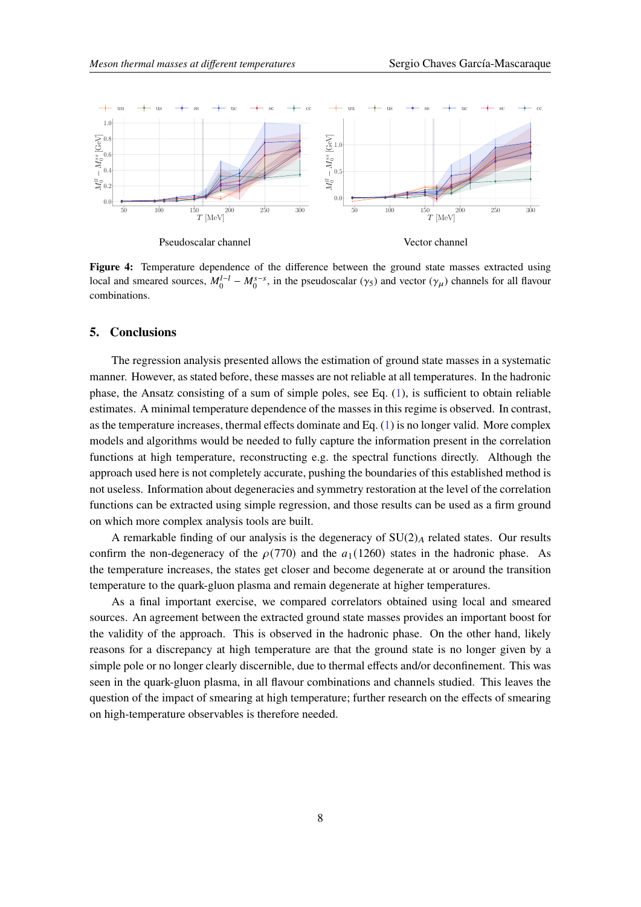<span id="page-7-0"></span>

Figure 4: Temperature dependence of the difference between the ground state masses extracted using local and smeared sources,  $M_0^{l-l} - M_0^{s-s}$ , in the pseudoscalar  $(\gamma_5)$  and vector  $(\gamma_\mu)$  channels for all flavour combinations.

#### **5. Conclusions**

The regression analysis presented allows the estimation of ground state masses in a systematic manner. However, as stated before, these masses are not reliable at all temperatures. In the hadronic phase, the Ansatz consisting of a sum of simple poles, see Eq. [\(1\)](#page-2-1), is sufficient to obtain reliable estimates. A minimal temperature dependence of the masses in this regime is observed. In contrast, as the temperature increases, thermal effects dominate and Eq. [\(1\)](#page-2-1) is no longer valid. More complex models and algorithms would be needed to fully capture the information present in the correlation functions at high temperature, reconstructing e.g. the spectral functions directly. Although the approach used here is not completely accurate, pushing the boundaries of this established method is not useless. Information about degeneracies and symmetry restoration at the level of the correlation functions can be extracted using simple regression, and those results can be used as a firm ground on which more complex analysis tools are built.

A remarkable finding of our analysis is the degeneracy of  $SU(2)_A$  related states. Our results confirm the non-degeneracy of the  $\rho(770)$  and the  $a_1 (1260)$  states in the hadronic phase. As the temperature increases, the states get closer and become degenerate at or around the transition temperature to the quark-gluon plasma and remain degenerate at higher temperatures.

As a final important exercise, we compared correlators obtained using local and smeared sources. An agreement between the extracted ground state masses provides an important boost for the validity of the approach. This is observed in the hadronic phase. On the other hand, likely reasons for a discrepancy at high temperature are that the ground state is no longer given by a simple pole or no longer clearly discernible, due to thermal effects and/or deconfinement. This was seen in the quark-gluon plasma, in all flavour combinations and channels studied. This leaves the question of the impact of smearing at high temperature; further research on the effects of smearing on high-temperature observables is therefore needed.